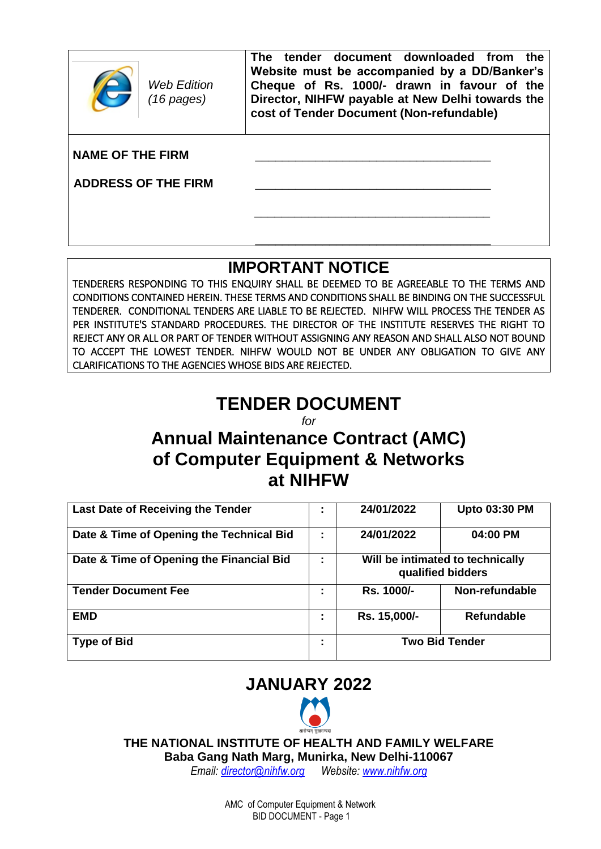|                            | <b>Web Edition</b><br>$(16 \text{ pages})$ | tender document downloaded from<br>The<br>Website must be accompanied by a DD/Banker's<br>Cheque of Rs. 1000/- drawn in favour of the<br>Director, NIHFW payable at New Delhi towards the<br>cost of Tender Document (Non-refundable) | the |  |  |
|----------------------------|--------------------------------------------|---------------------------------------------------------------------------------------------------------------------------------------------------------------------------------------------------------------------------------------|-----|--|--|
| <b>NAME OF THE FIRM</b>    |                                            |                                                                                                                                                                                                                                       |     |  |  |
| <b>ADDRESS OF THE FIRM</b> |                                            |                                                                                                                                                                                                                                       |     |  |  |
|                            |                                            |                                                                                                                                                                                                                                       |     |  |  |
|                            |                                            |                                                                                                                                                                                                                                       |     |  |  |

## **IMPORTANT NOTICE**

TENDERERS RESPONDING TO THIS ENQUIRY SHALL BE DEEMED TO BE AGREEABLE TO THE TERMS AND CONDITIONS CONTAINED HEREIN. THESE TERMS AND CONDITIONS SHALL BE BINDING ON THE SUCCESSFUL TENDERER. CONDITIONAL TENDERS ARE LIABLE TO BE REJECTED. NIHFW WILL PROCESS THE TENDER AS PER INSTITUTE'S STANDARD PROCEDURES. THE DIRECTOR OF THE INSTITUTE RESERVES THE RIGHT TO REJECT ANY OR ALL OR PART OF TENDER WITHOUT ASSIGNING ANY REASON AND SHALL ALSO NOT BOUND TO ACCEPT THE LOWEST TENDER. NIHFW WOULD NOT BE UNDER ANY OBLIGATION TO GIVE ANY CLARIFICATIONS TO THE AGENCIES WHOSE BIDS ARE REJECTED.

## **TENDER DOCUMENT**

*for* 

## **Annual Maintenance Contract (AMC) of Computer Equipment & Networks at NIHFW**

| Last Date of Receiving the Tender        | ۰ | 24/01/2022                                            | Upto 03:30 PM         |  |
|------------------------------------------|---|-------------------------------------------------------|-----------------------|--|
| Date & Time of Opening the Technical Bid |   | 24/01/2022                                            | 04:00 PM              |  |
| Date & Time of Opening the Financial Bid |   | Will be intimated to technically<br>qualified bidders |                       |  |
| <b>Tender Document Fee</b>               | ٠ | Rs. 1000/-                                            | Non-refundable        |  |
| <b>EMD</b>                               |   | Rs. 15,000/-                                          | <b>Refundable</b>     |  |
| <b>Type of Bid</b>                       |   |                                                       | <b>Two Bid Tender</b> |  |

## **JANUARY 2022**



**THE NATIONAL INSTITUTE OF HEALTH AND FAMILY WELFARE**

**Baba Gang Nath Marg, Munirka, New Delhi-110067**

*Email: [director@nihfw.org](mailto:director@nihfw.org) Website: [www.nihfw.org](http://www.nihfw.org/)*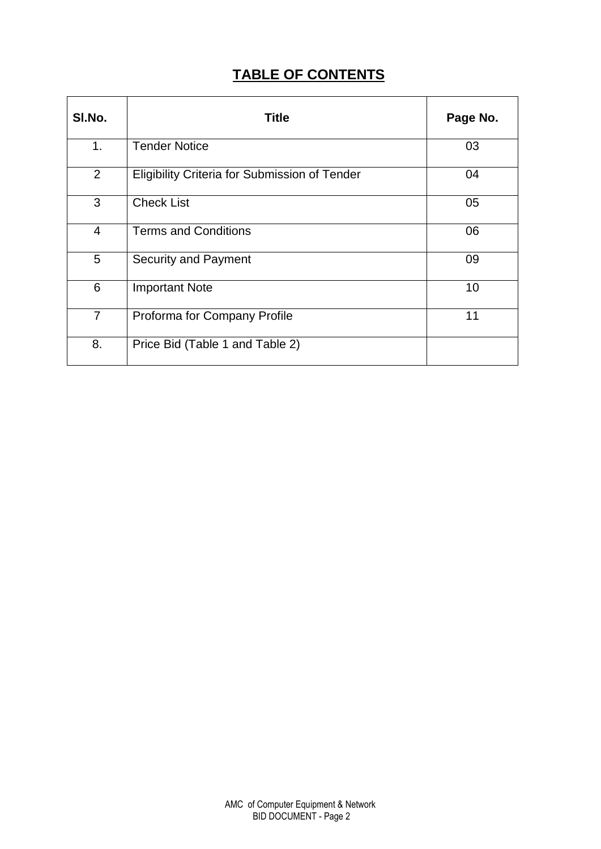## **TABLE OF CONTENTS**

| SI.No.         | <b>Title</b>                                  | Page No. |
|----------------|-----------------------------------------------|----------|
| 1 <sub>1</sub> | <b>Tender Notice</b>                          | 03       |
| 2              | Eligibility Criteria for Submission of Tender | 04       |
| 3              | <b>Check List</b>                             | 05       |
| $\overline{4}$ | <b>Terms and Conditions</b>                   | 06       |
| 5              | <b>Security and Payment</b>                   | 09       |
| 6              | <b>Important Note</b>                         | 10       |
| $\overline{7}$ | Proforma for Company Profile                  | 11       |
| 8.             | Price Bid (Table 1 and Table 2)               |          |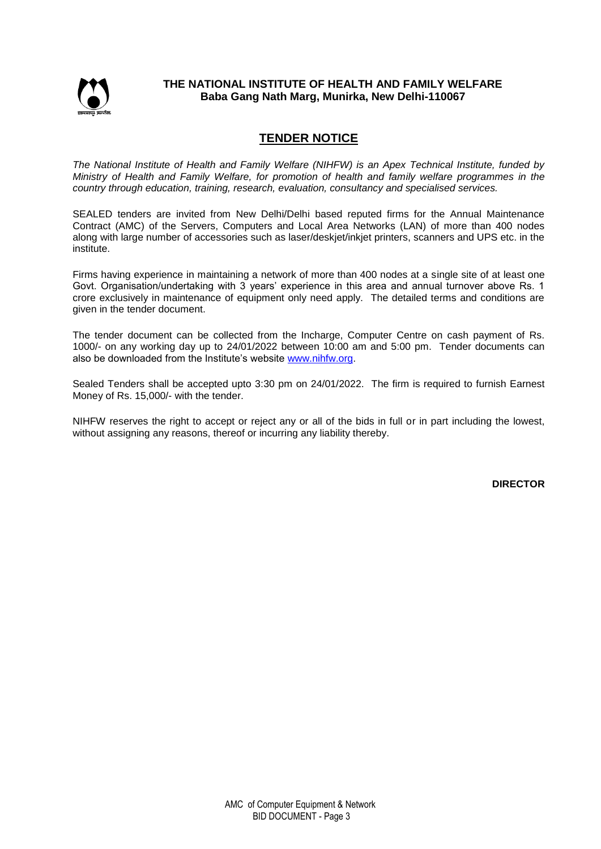

#### **THE NATIONAL INSTITUTE OF HEALTH AND FAMILY WELFARE Baba Gang Nath Marg, Munirka, New Delhi-110067**

#### **TENDER NOTICE**

*The National Institute of Health and Family Welfare (NIHFW) is an Apex Technical Institute, funded by Ministry of Health and Family Welfare, for promotion of health and family welfare programmes in the country through education, training, research, evaluation, consultancy and specialised services.*

SEALED tenders are invited from New Delhi/Delhi based reputed firms for the Annual Maintenance Contract (AMC) of the Servers, Computers and Local Area Networks (LAN) of more than 400 nodes along with large number of accessories such as laser/deskjet/inkjet printers, scanners and UPS etc. in the institute.

Firms having experience in maintaining a network of more than 400 nodes at a single site of at least one Govt. Organisation/undertaking with 3 years' experience in this area and annual turnover above Rs. 1 crore exclusively in maintenance of equipment only need apply. The detailed terms and conditions are given in the tender document.

The tender document can be collected from the Incharge, Computer Centre on cash payment of Rs. 1000/- on any working day up to 24/01/2022 between 10:00 am and 5:00 pm. Tender documents can also be downloaded from the Institute's website [www.nihfw.org.](http://www.nihfw.org/)

Sealed Tenders shall be accepted upto 3:30 pm on 24/01/2022. The firm is required to furnish Earnest Money of Rs. 15,000/- with the tender.

NIHFW reserves the right to accept or reject any or all of the bids in full or in part including the lowest, without assigning any reasons, thereof or incurring any liability thereby.

**DIRECTOR**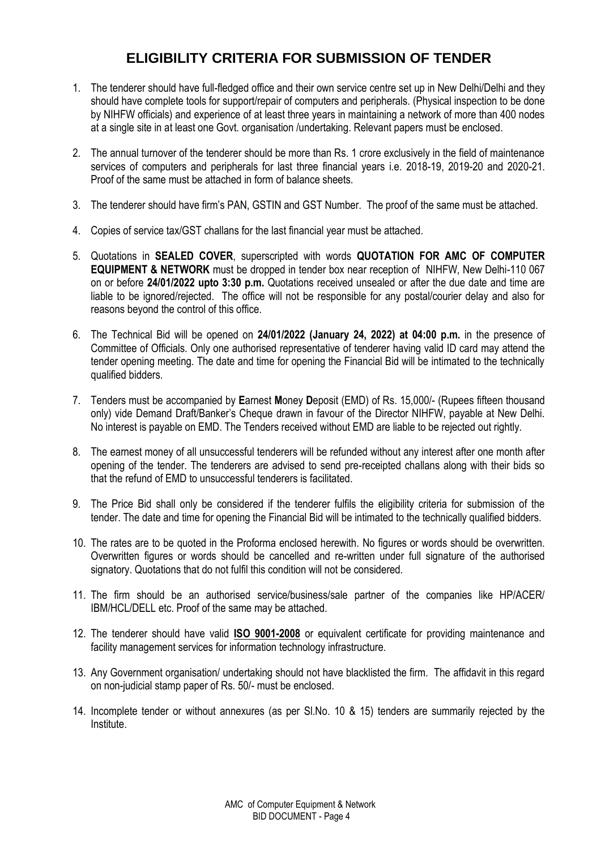### **ELIGIBILITY CRITERIA FOR SUBMISSION OF TENDER**

- 1. The tenderer should have full-fledged office and their own service centre set up in New Delhi/Delhi and they should have complete tools for support/repair of computers and peripherals. (Physical inspection to be done by NIHFW officials) and experience of at least three years in maintaining a network of more than 400 nodes at a single site in at least one Govt. organisation /undertaking. Relevant papers must be enclosed.
- 2. The annual turnover of the tenderer should be more than Rs. 1 crore exclusively in the field of maintenance services of computers and peripherals for last three financial years i.e. 2018-19, 2019-20 and 2020-21. Proof of the same must be attached in form of balance sheets.
- 3. The tenderer should have firm's PAN, GSTIN and GST Number. The proof of the same must be attached.
- 4. Copies of service tax/GST challans for the last financial year must be attached.
- 5. Quotations in **SEALED COVER**, superscripted with words **QUOTATION FOR AMC OF COMPUTER EQUIPMENT & NETWORK** must be dropped in tender box near reception of NIHFW, New Delhi-110 067 on or before **24/01/2022 upto 3:30 p.m.** Quotations received unsealed or after the due date and time are liable to be ignored/rejected. The office will not be responsible for any postal/courier delay and also for reasons beyond the control of this office.
- 6. The Technical Bid will be opened on **24/01/2022 (January 24, 2022) at 04:00 p.m.** in the presence of Committee of Officials. Only one authorised representative of tenderer having valid ID card may attend the tender opening meeting. The date and time for opening the Financial Bid will be intimated to the technically qualified bidders.
- 7. Tenders must be accompanied by **E**arnest **M**oney **D**eposit (EMD) of Rs. 15,000/- (Rupees fifteen thousand only) vide Demand Draft/Banker's Cheque drawn in favour of the Director NIHFW, payable at New Delhi. No interest is payable on EMD. The Tenders received without EMD are liable to be rejected out rightly.
- 8. The earnest money of all unsuccessful tenderers will be refunded without any interest after one month after opening of the tender. The tenderers are advised to send pre-receipted challans along with their bids so that the refund of EMD to unsuccessful tenderers is facilitated.
- 9. The Price Bid shall only be considered if the tenderer fulfils the eligibility criteria for submission of the tender. The date and time for opening the Financial Bid will be intimated to the technically qualified bidders.
- 10. The rates are to be quoted in the Proforma enclosed herewith. No figures or words should be overwritten. Overwritten figures or words should be cancelled and re-written under full signature of the authorised signatory. Quotations that do not fulfil this condition will not be considered.
- 11. The firm should be an authorised service/business/sale partner of the companies like HP/ACER/ IBM/HCL/DELL etc. Proof of the same may be attached.
- 12. The tenderer should have valid **ISO 9001-2008** or equivalent certificate for providing maintenance and facility management services for information technology infrastructure.
- 13. Any Government organisation/ undertaking should not have blacklisted the firm. The affidavit in this regard on non-judicial stamp paper of Rs. 50/- must be enclosed.
- 14. Incomplete tender or without annexures (as per Sl.No. 10 & 15) tenders are summarily rejected by the Institute.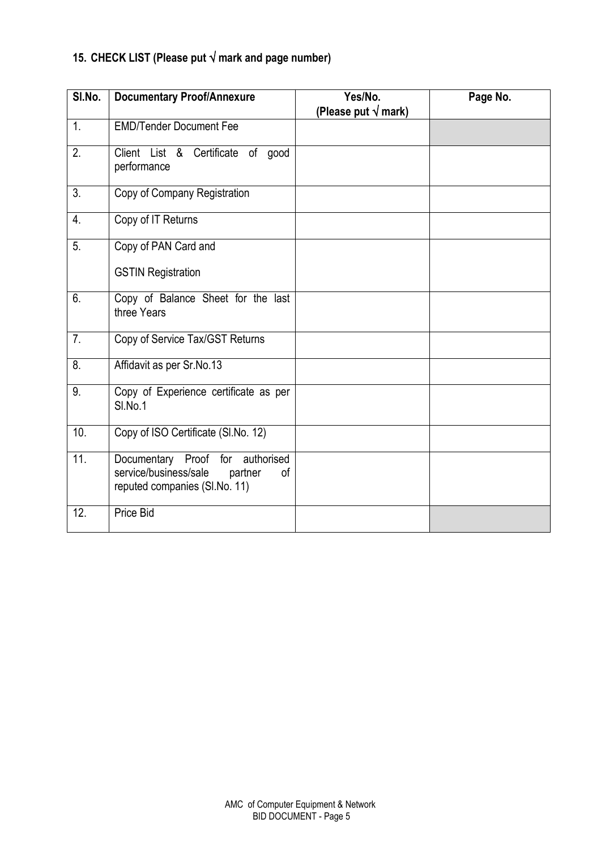## **15. CHECK LIST (Please put √ mark and page number)**

| SI.No.           | <b>Documentary Proof/Annexure</b>                                                                           | Yes/No.                     | Page No. |
|------------------|-------------------------------------------------------------------------------------------------------------|-----------------------------|----------|
|                  |                                                                                                             | (Please put $\sqrt{m}$ ark) |          |
| 1.               | <b>EMD/Tender Document Fee</b>                                                                              |                             |          |
| 2.               | Client List & Certificate of good<br>performance                                                            |                             |          |
| 3.               | Copy of Company Registration                                                                                |                             |          |
| 4.               | Copy of IT Returns                                                                                          |                             |          |
| 5.               | Copy of PAN Card and                                                                                        |                             |          |
|                  | <b>GSTIN Registration</b>                                                                                   |                             |          |
| 6.               | Copy of Balance Sheet for the last<br>three Years                                                           |                             |          |
| 7.               | Copy of Service Tax/GST Returns                                                                             |                             |          |
| 8.               | Affidavit as per Sr.No.13                                                                                   |                             |          |
| $\overline{9}$ . | Copy of Experience certificate as per<br>SI.No.1                                                            |                             |          |
| 10.              | Copy of ISO Certificate (SI.No. 12)                                                                         |                             |          |
| 11.              | Documentary Proof for authorised<br>service/business/sale<br>partner<br>0f<br>reputed companies (SI.No. 11) |                             |          |
| 12.              | Price Bid                                                                                                   |                             |          |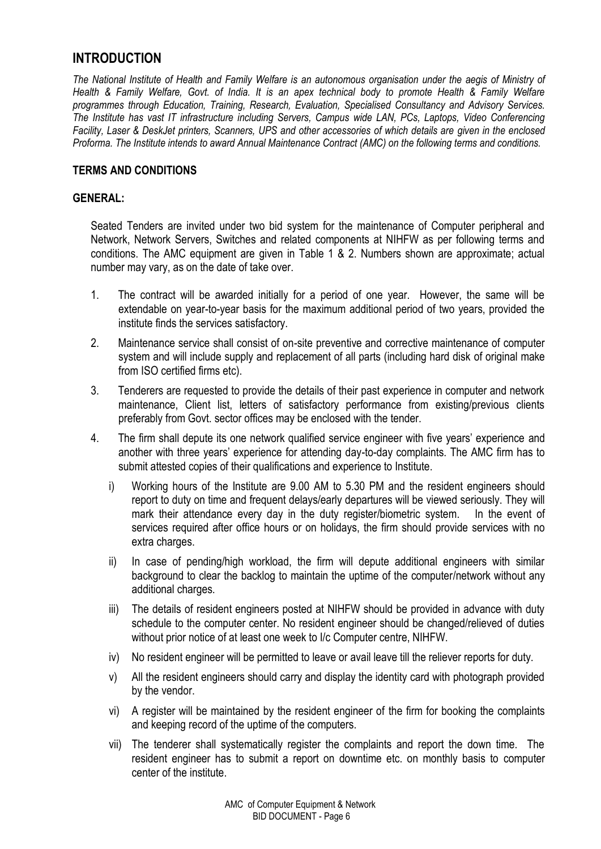#### **INTRODUCTION**

*The National Institute of Health and Family Welfare is an autonomous organisation under the aegis of Ministry of Health & Family Welfare, Govt. of India. It is an apex technical body to promote Health & Family Welfare programmes through Education, Training, Research, Evaluation, Specialised Consultancy and Advisory Services. The Institute has vast IT infrastructure including Servers, Campus wide LAN, PCs, Laptops, Video Conferencing Facility, Laser & DeskJet printers, Scanners, UPS and other accessories of which details are given in the enclosed Proforma. The Institute intends to award Annual Maintenance Contract (AMC) on the following terms and conditions.*

#### **TERMS AND CONDITIONS**

#### **GENERAL:**

Seated Tenders are invited under two bid system for the maintenance of Computer peripheral and Network, Network Servers, Switches and related components at NIHFW as per following terms and conditions. The AMC equipment are given in Table 1 & 2. Numbers shown are approximate; actual number may vary, as on the date of take over.

- 1. The contract will be awarded initially for a period of one year. However, the same will be extendable on year-to-year basis for the maximum additional period of two years, provided the institute finds the services satisfactory.
- 2. Maintenance service shall consist of on-site preventive and corrective maintenance of computer system and will include supply and replacement of all parts (including hard disk of original make from ISO certified firms etc).
- 3. Tenderers are requested to provide the details of their past experience in computer and network maintenance, Client list, letters of satisfactory performance from existing/previous clients preferably from Govt. sector offices may be enclosed with the tender.
- 4. The firm shall depute its one network qualified service engineer with five years' experience and another with three years' experience for attending day-to-day complaints. The AMC firm has to submit attested copies of their qualifications and experience to Institute.
	- i) Working hours of the Institute are 9.00 AM to 5.30 PM and the resident engineers should report to duty on time and frequent delays/early departures will be viewed seriously. They will mark their attendance every day in the duty register/biometric system. In the event of services required after office hours or on holidays, the firm should provide services with no extra charges.
	- ii) In case of pending/high workload, the firm will depute additional engineers with similar background to clear the backlog to maintain the uptime of the computer/network without any additional charges.
	- iii) The details of resident engineers posted at NIHFW should be provided in advance with duty schedule to the computer center. No resident engineer should be changed/relieved of duties without prior notice of at least one week to I/c Computer centre, NIHFW.
	- iv) No resident engineer will be permitted to leave or avail leave till the reliever reports for duty.
	- v) All the resident engineers should carry and display the identity card with photograph provided by the vendor.
	- vi) A register will be maintained by the resident engineer of the firm for booking the complaints and keeping record of the uptime of the computers.
	- vii) The tenderer shall systematically register the complaints and report the down time. The resident engineer has to submit a report on downtime etc. on monthly basis to computer center of the institute.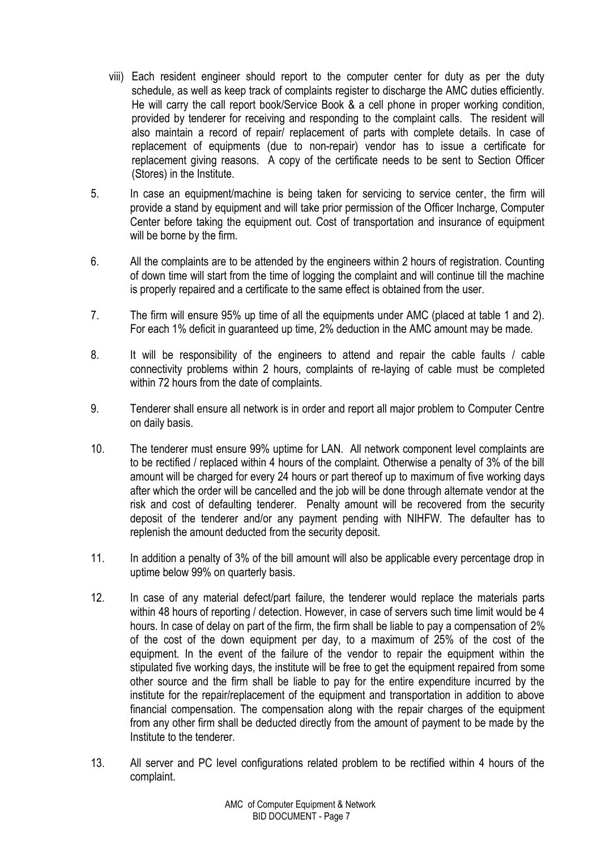- viii) Each resident engineer should report to the computer center for duty as per the duty schedule, as well as keep track of complaints register to discharge the AMC duties efficiently. He will carry the call report book/Service Book & a cell phone in proper working condition, provided by tenderer for receiving and responding to the complaint calls. The resident will also maintain a record of repair/ replacement of parts with complete details. In case of replacement of equipments (due to non-repair) vendor has to issue a certificate for replacement giving reasons. A copy of the certificate needs to be sent to Section Officer (Stores) in the Institute.
- 5. In case an equipment/machine is being taken for servicing to service center, the firm will provide a stand by equipment and will take prior permission of the Officer Incharge, Computer Center before taking the equipment out. Cost of transportation and insurance of equipment will be borne by the firm.
- 6. All the complaints are to be attended by the engineers within 2 hours of registration. Counting of down time will start from the time of logging the complaint and will continue till the machine is properly repaired and a certificate to the same effect is obtained from the user.
- 7. The firm will ensure 95% up time of all the equipments under AMC (placed at table 1 and 2). For each 1% deficit in guaranteed up time, 2% deduction in the AMC amount may be made.
- 8. It will be responsibility of the engineers to attend and repair the cable faults / cable connectivity problems within 2 hours, complaints of re-laying of cable must be completed within 72 hours from the date of complaints.
- 9. Tenderer shall ensure all network is in order and report all major problem to Computer Centre on daily basis.
- 10. The tenderer must ensure 99% uptime for LAN. All network component level complaints are to be rectified / replaced within 4 hours of the complaint. Otherwise a penalty of 3% of the bill amount will be charged for every 24 hours or part thereof up to maximum of five working days after which the order will be cancelled and the job will be done through alternate vendor at the risk and cost of defaulting tenderer. Penalty amount will be recovered from the security deposit of the tenderer and/or any payment pending with NIHFW. The defaulter has to replenish the amount deducted from the security deposit.
- 11. In addition a penalty of 3% of the bill amount will also be applicable every percentage drop in uptime below 99% on quarterly basis.
- 12. In case of any material defect/part failure, the tenderer would replace the materials parts within 48 hours of reporting / detection. However, in case of servers such time limit would be 4 hours. In case of delay on part of the firm, the firm shall be liable to pay a compensation of 2% of the cost of the down equipment per day, to a maximum of 25% of the cost of the equipment. In the event of the failure of the vendor to repair the equipment within the stipulated five working days, the institute will be free to get the equipment repaired from some other source and the firm shall be liable to pay for the entire expenditure incurred by the institute for the repair/replacement of the equipment and transportation in addition to above financial compensation. The compensation along with the repair charges of the equipment from any other firm shall be deducted directly from the amount of payment to be made by the Institute to the tenderer.
- 13. All server and PC level configurations related problem to be rectified within 4 hours of the complaint.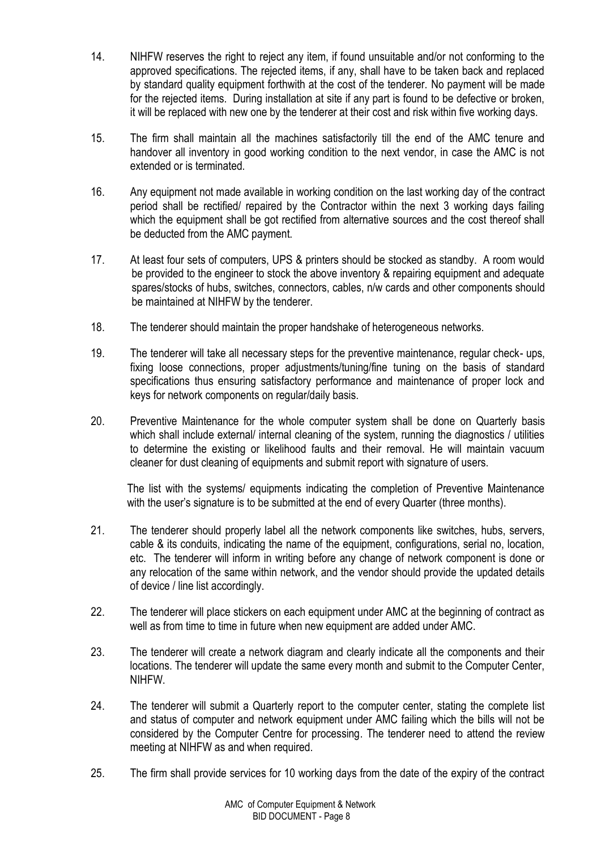- 14. NIHFW reserves the right to reject any item, if found unsuitable and/or not conforming to the approved specifications. The rejected items, if any, shall have to be taken back and replaced by standard quality equipment forthwith at the cost of the tenderer. No payment will be made for the rejected items. During installation at site if any part is found to be defective or broken, it will be replaced with new one by the tenderer at their cost and risk within five working days.
- 15. The firm shall maintain all the machines satisfactorily till the end of the AMC tenure and handover all inventory in good working condition to the next vendor, in case the AMC is not extended or is terminated.
- 16. Any equipment not made available in working condition on the last working day of the contract period shall be rectified/ repaired by the Contractor within the next 3 working days failing which the equipment shall be got rectified from alternative sources and the cost thereof shall be deducted from the AMC payment.
- 17. At least four sets of computers, UPS & printers should be stocked as standby. A room would be provided to the engineer to stock the above inventory & repairing equipment and adequate spares/stocks of hubs, switches, connectors, cables, n/w cards and other components should be maintained at NIHFW by the tenderer.
- 18. The tenderer should maintain the proper handshake of heterogeneous networks.
- 19. The tenderer will take all necessary steps for the preventive maintenance, regular check- ups, fixing loose connections, proper adjustments/tuning/fine tuning on the basis of standard specifications thus ensuring satisfactory performance and maintenance of proper lock and keys for network components on regular/daily basis.
- 20. Preventive Maintenance for the whole computer system shall be done on Quarterly basis which shall include external/ internal cleaning of the system, running the diagnostics / utilities to determine the existing or likelihood faults and their removal. He will maintain vacuum cleaner for dust cleaning of equipments and submit report with signature of users.

The list with the systems/ equipments indicating the completion of Preventive Maintenance with the user's signature is to be submitted at the end of every Quarter (three months).

- 21. The tenderer should properly label all the network components like switches, hubs, servers, cable & its conduits, indicating the name of the equipment, configurations, serial no, location, etc. The tenderer will inform in writing before any change of network component is done or any relocation of the same within network, and the vendor should provide the updated details of device / line list accordingly.
- 22. The tenderer will place stickers on each equipment under AMC at the beginning of contract as well as from time to time in future when new equipment are added under AMC.
- 23. The tenderer will create a network diagram and clearly indicate all the components and their locations. The tenderer will update the same every month and submit to the Computer Center, NIHFW.
- 24. The tenderer will submit a Quarterly report to the computer center, stating the complete list and status of computer and network equipment under AMC failing which the bills will not be considered by the Computer Centre for processing. The tenderer need to attend the review meeting at NIHFW as and when required.
- 25. The firm shall provide services for 10 working days from the date of the expiry of the contract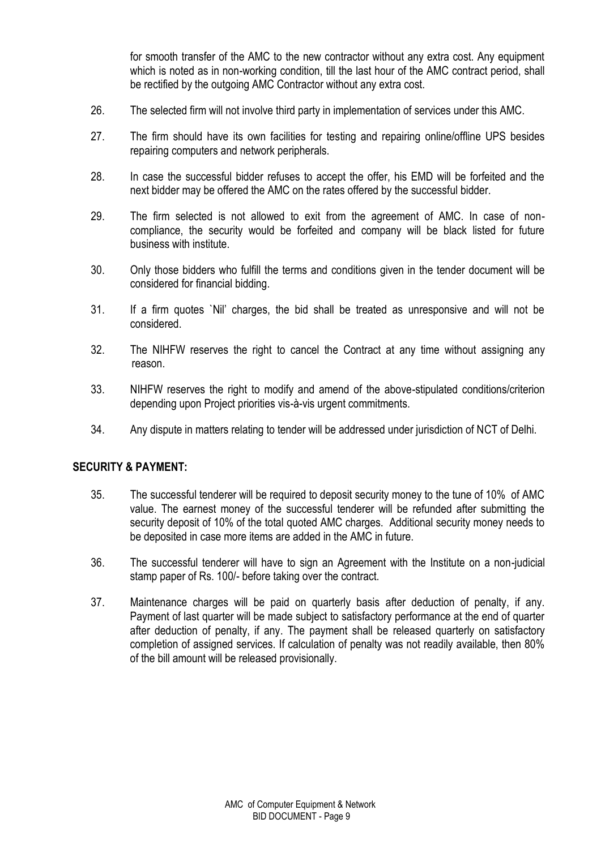for smooth transfer of the AMC to the new contractor without any extra cost. Any equipment which is noted as in non-working condition, till the last hour of the AMC contract period, shall be rectified by the outgoing AMC Contractor without any extra cost.

- 26. The selected firm will not involve third party in implementation of services under this AMC.
- 27. The firm should have its own facilities for testing and repairing online/offline UPS besides repairing computers and network peripherals.
- 28. In case the successful bidder refuses to accept the offer, his EMD will be forfeited and the next bidder may be offered the AMC on the rates offered by the successful bidder.
- 29. The firm selected is not allowed to exit from the agreement of AMC. In case of noncompliance, the security would be forfeited and company will be black listed for future business with institute.
- 30. Only those bidders who fulfill the terms and conditions given in the tender document will be considered for financial bidding.
- 31. If a firm quotes `Nil' charges, the bid shall be treated as unresponsive and will not be considered.
- 32. The NIHFW reserves the right to cancel the Contract at any time without assigning any reason.
- 33. NIHFW reserves the right to modify and amend of the above-stipulated conditions/criterion depending upon Project priorities vis-à-vis urgent commitments.
- 34. Any dispute in matters relating to tender will be addressed under jurisdiction of NCT of Delhi.

#### **SECURITY & PAYMENT:**

- 35. The successful tenderer will be required to deposit security money to the tune of 10% of AMC value. The earnest money of the successful tenderer will be refunded after submitting the security deposit of 10% of the total quoted AMC charges. Additional security money needs to be deposited in case more items are added in the AMC in future.
- 36. The successful tenderer will have to sign an Agreement with the Institute on a non-judicial stamp paper of Rs. 100/- before taking over the contract.
- 37. Maintenance charges will be paid on quarterly basis after deduction of penalty, if any. Payment of last quarter will be made subject to satisfactory performance at the end of quarter after deduction of penalty, if any. The payment shall be released quarterly on satisfactory completion of assigned services. If calculation of penalty was not readily available, then 80% of the bill amount will be released provisionally.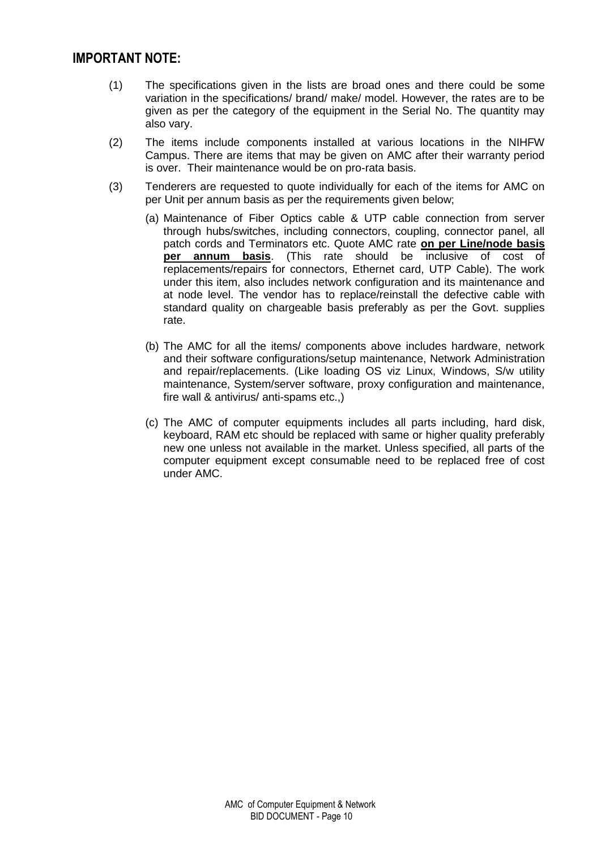#### **IMPORTANT NOTE:**

- (1) The specifications given in the lists are broad ones and there could be some variation in the specifications/ brand/ make/ model. However, the rates are to be given as per the category of the equipment in the Serial No. The quantity may also vary.
- (2) The items include components installed at various locations in the NIHFW Campus. There are items that may be given on AMC after their warranty period is over. Their maintenance would be on pro-rata basis.
- (3) Tenderers are requested to quote individually for each of the items for AMC on per Unit per annum basis as per the requirements given below;
	- (a) Maintenance of Fiber Optics cable & UTP cable connection from server through hubs/switches, including connectors, coupling, connector panel, all patch cords and Terminators etc. Quote AMC rate **on per Line/node basis per annum basis**. (This rate should be inclusive of cost of replacements/repairs for connectors, Ethernet card, UTP Cable). The work under this item, also includes network configuration and its maintenance and at node level. The vendor has to replace/reinstall the defective cable with standard quality on chargeable basis preferably as per the Govt. supplies rate.
	- (b) The AMC for all the items/ components above includes hardware, network and their software configurations/setup maintenance, Network Administration and repair/replacements. (Like loading OS viz Linux, Windows, S/w utility maintenance, System/server software, proxy configuration and maintenance, fire wall & antivirus/ anti-spams etc.,)
	- (c) The AMC of computer equipments includes all parts including, hard disk, keyboard, RAM etc should be replaced with same or higher quality preferably new one unless not available in the market. Unless specified, all parts of the computer equipment except consumable need to be replaced free of cost under AMC.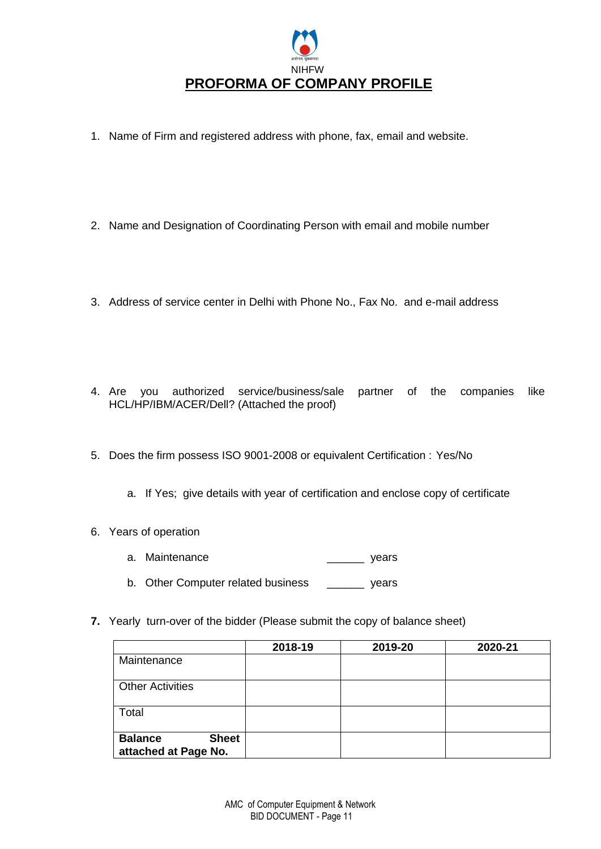

- 1. Name of Firm and registered address with phone, fax, email and website.
- 2. Name and Designation of Coordinating Person with email and mobile number
- 3. Address of service center in Delhi with Phone No., Fax No. and e-mail address
- 4. Are you authorized service/business/sale partner of the companies like HCL/HP/IBM/ACER/Dell? (Attached the proof)
- 5. Does the firm possess ISO 9001-2008 or equivalent Certification : Yes/No
	- a. If Yes; give details with year of certification and enclose copy of certificate
- 6. Years of operation
	- a. Maintenance **and the set of the set of the set of the set of the set of the set of the set of the set of the set of the set of the set of the set of the set of the set of the set of the set of the set of the set of the**
	- b. Other Computer related business \_\_\_\_\_\_ years
- **7.** Yearly turn-over of the bidder (Please submit the copy of balance sheet)

|                                                        | 2018-19 | 2019-20 | 2020-21 |
|--------------------------------------------------------|---------|---------|---------|
| Maintenance                                            |         |         |         |
| <b>Other Activities</b>                                |         |         |         |
| Total                                                  |         |         |         |
| <b>Balance</b><br><b>Sheet</b><br>attached at Page No. |         |         |         |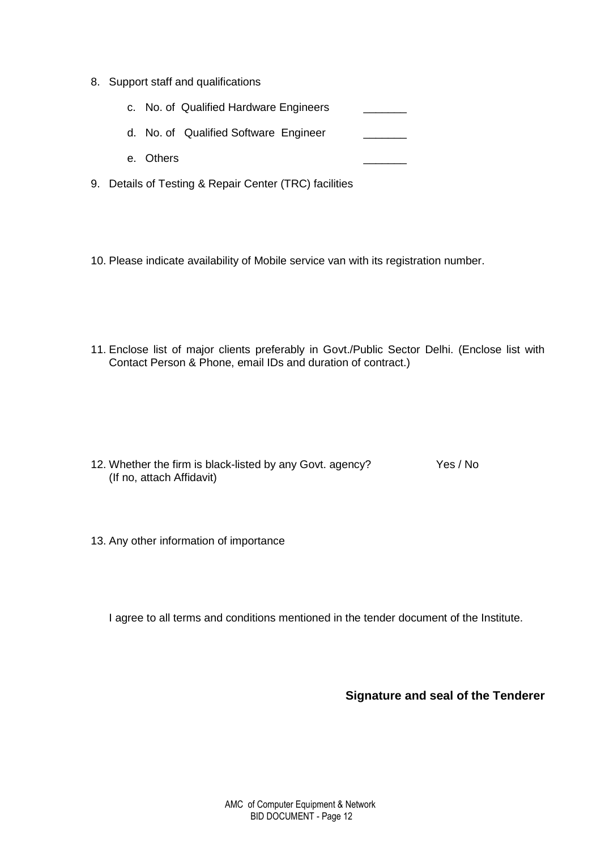8. Support staff and qualifications

| c. No. of Qualified Hardware Engineers |  |
|----------------------------------------|--|
| d. No. of Qualified Software Engineer  |  |
| e. Others                              |  |

- 9. Details of Testing & Repair Center (TRC) facilities
- 10. Please indicate availability of Mobile service van with its registration number.
- 11. Enclose list of major clients preferably in Govt./Public Sector Delhi. (Enclose list with Contact Person & Phone, email IDs and duration of contract.)

- 12. Whether the firm is black-listed by any Govt. agency? Yes / No (If no, attach Affidavit)
- 13. Any other information of importance

I agree to all terms and conditions mentioned in the tender document of the Institute.

**Signature and seal of the Tenderer**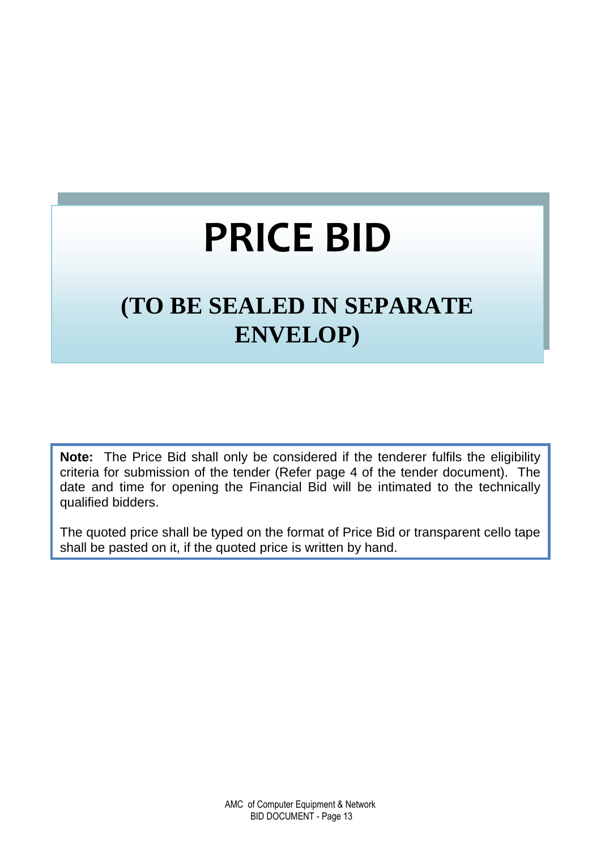# **PRICE BID**

## **(TO BE SEALED IN SEPARATE ENVELOP)**

**Note:** The Price Bid shall only be considered if the tenderer fulfils the eligibility criteria for submission of the tender (Refer page 4 of the tender document). The date and time for opening the Financial Bid will be intimated to the technically qualified bidders.

The quoted price shall be typed on the format of Price Bid or transparent cello tape shall be pasted on it, if the quoted price is written by hand.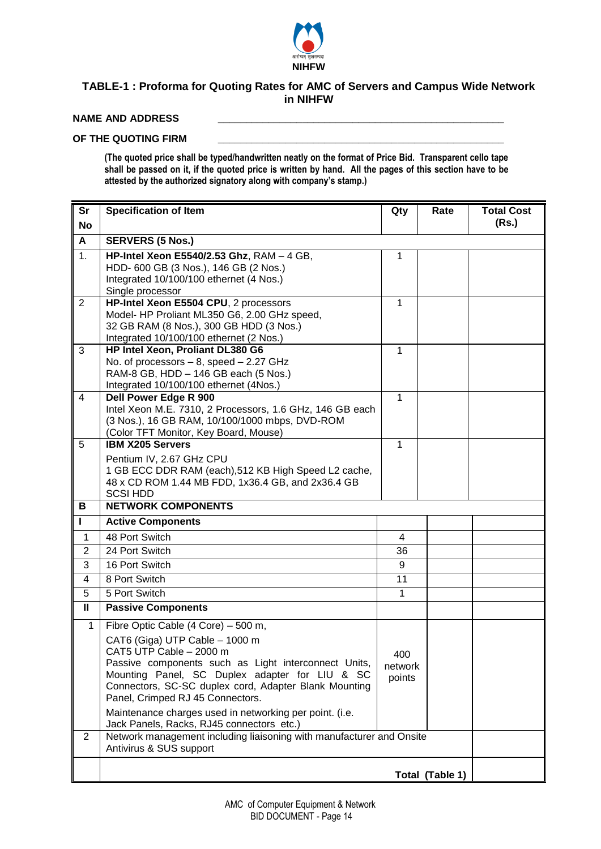

#### **TABLE-1 : Proforma for Quoting Rates for AMC of Servers and Campus Wide Network in NIHFW**

#### NAME AND ADDRESS

#### **OF THE QUOTING FIRM**

**(The quoted price shall be typed/handwritten neatly on the format of Price Bid. Transparent cello tape shall be passed on it, if the quoted price is written by hand. All the pages of this section have to be attested by the authorized signatory along with company's stamp.)**

| <b>Sr</b>           | <b>Specification of Item</b>                                                                                                                                                                                                                                                                                                                                                                                                                                                                                       | Qty                      | Rate            | <b>Total Cost</b> |
|---------------------|--------------------------------------------------------------------------------------------------------------------------------------------------------------------------------------------------------------------------------------------------------------------------------------------------------------------------------------------------------------------------------------------------------------------------------------------------------------------------------------------------------------------|--------------------------|-----------------|-------------------|
| <b>No</b>           |                                                                                                                                                                                                                                                                                                                                                                                                                                                                                                                    |                          |                 | (Rs.)             |
| A                   | <b>SERVERS (5 Nos.)</b>                                                                                                                                                                                                                                                                                                                                                                                                                                                                                            |                          |                 |                   |
| 1.                  | HP-Intel Xeon E5540/2.53 Ghz, RAM - 4 GB,<br>HDD-600 GB (3 Nos.), 146 GB (2 Nos.)<br>Integrated 10/100/100 ethernet (4 Nos.)<br>Single processor                                                                                                                                                                                                                                                                                                                                                                   | 1                        |                 |                   |
| $\overline{2}$      | HP-Intel Xeon E5504 CPU, 2 processors<br>Model-HP Proliant ML350 G6, 2.00 GHz speed,<br>32 GB RAM (8 Nos.), 300 GB HDD (3 Nos.)<br>Integrated 10/100/100 ethernet (2 Nos.)                                                                                                                                                                                                                                                                                                                                         | 1                        |                 |                   |
| 3                   | HP Intel Xeon, Proliant DL380 G6<br>No. of processors $-8$ , speed $-2.27$ GHz<br>RAM-8 GB, HDD - 146 GB each (5 Nos.)<br>Integrated 10/100/100 ethernet (4Nos.)                                                                                                                                                                                                                                                                                                                                                   | 1                        |                 |                   |
| 4                   | Dell Power Edge R 900<br>Intel Xeon M.E. 7310, 2 Processors, 1.6 GHz, 146 GB each<br>(3 Nos.), 16 GB RAM, 10/100/1000 mbps, DVD-ROM<br>(Color TFT Monitor, Key Board, Mouse)                                                                                                                                                                                                                                                                                                                                       | 1                        |                 |                   |
| 5                   | <b>IBM X205 Servers</b>                                                                                                                                                                                                                                                                                                                                                                                                                                                                                            | 1                        |                 |                   |
|                     | Pentium IV, 2.67 GHz CPU<br>1 GB ECC DDR RAM (each), 512 KB High Speed L2 cache,<br>48 x CD ROM 1.44 MB FDD, 1x36.4 GB, and 2x36.4 GB<br><b>SCSI HDD</b>                                                                                                                                                                                                                                                                                                                                                           |                          |                 |                   |
| В                   | <b>NETWORK COMPONENTS</b>                                                                                                                                                                                                                                                                                                                                                                                                                                                                                          |                          |                 |                   |
| $\mathbf{I}$        | <b>Active Components</b>                                                                                                                                                                                                                                                                                                                                                                                                                                                                                           |                          |                 |                   |
| 1                   | 48 Port Switch                                                                                                                                                                                                                                                                                                                                                                                                                                                                                                     | 4                        |                 |                   |
| $\overline{2}$      | 24 Port Switch                                                                                                                                                                                                                                                                                                                                                                                                                                                                                                     | 36                       |                 |                   |
| 3                   | 16 Port Switch                                                                                                                                                                                                                                                                                                                                                                                                                                                                                                     | 9                        |                 |                   |
| $\overline{4}$      | 8 Port Switch                                                                                                                                                                                                                                                                                                                                                                                                                                                                                                      | 11                       |                 |                   |
| 5                   | 5 Port Switch                                                                                                                                                                                                                                                                                                                                                                                                                                                                                                      | 1                        |                 |                   |
| $\mathbf{H}$        | <b>Passive Components</b>                                                                                                                                                                                                                                                                                                                                                                                                                                                                                          |                          |                 |                   |
| 1<br>$\overline{2}$ | Fibre Optic Cable (4 Core) – 500 m,<br>CAT6 (Giga) UTP Cable - 1000 m<br>CAT5 UTP Cable - 2000 m<br>Passive components such as Light interconnect Units,<br>Mounting Panel, SC Duplex adapter for LIU & SC<br>Connectors, SC-SC duplex cord, Adapter Blank Mounting<br>Panel, Crimped RJ 45 Connectors.<br>Maintenance charges used in networking per point. (i.e.<br>Jack Panels, Racks, RJ45 connectors etc.)<br>Network management including liaisoning with manufacturer and Onsite<br>Antivirus & SUS support | 400<br>network<br>points |                 |                   |
|                     |                                                                                                                                                                                                                                                                                                                                                                                                                                                                                                                    |                          | Total (Table 1) |                   |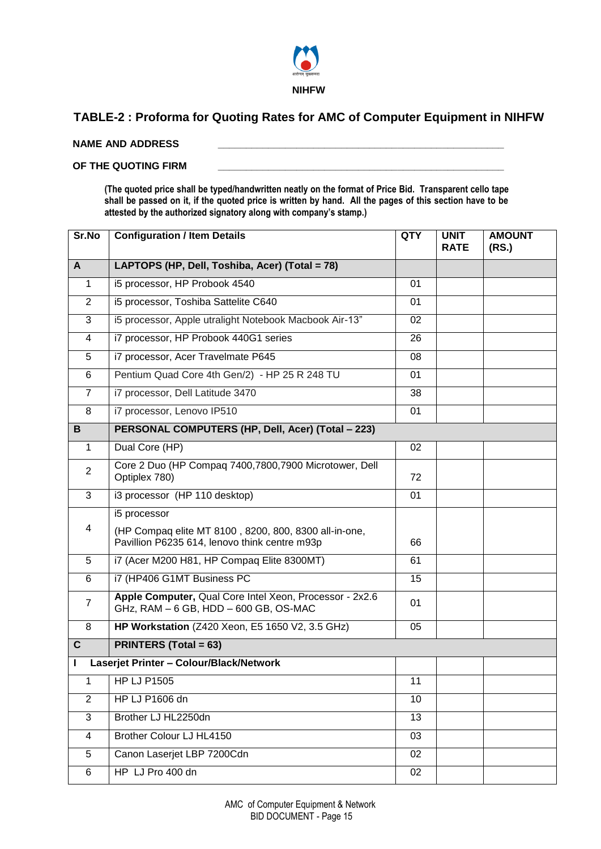

#### **TABLE-2 : Proforma for Quoting Rates for AMC of Computer Equipment in NIHFW**

#### NAME AND ADDRESS

#### OF THE QUOTING FIRM

**(The quoted price shall be typed/handwritten neatly on the format of Price Bid. Transparent cello tape shall be passed on it, if the quoted price is written by hand. All the pages of this section have to be attested by the authorized signatory along with company's stamp.)**

| Sr.No          | <b>Configuration / Item Details</b>                                                                    | <b>QTY</b> | <b>UNIT</b><br><b>RATE</b> | <b>AMOUNT</b><br>(RS.) |
|----------------|--------------------------------------------------------------------------------------------------------|------------|----------------------------|------------------------|
| A              | LAPTOPS (HP, Dell, Toshiba, Acer) (Total = 78)                                                         |            |                            |                        |
| 1              | i5 processor, HP Probook 4540                                                                          | 01         |                            |                        |
| 2              | i5 processor, Toshiba Sattelite C640                                                                   | 01         |                            |                        |
| 3              | i5 processor, Apple utralight Notebook Macbook Air-13"                                                 | 02         |                            |                        |
| 4              | i7 processor, HP Probook 440G1 series                                                                  | 26         |                            |                        |
| 5              | i7 processor, Acer Travelmate P645                                                                     | 08         |                            |                        |
| 6              | Pentium Quad Core 4th Gen/2) - HP 25 R 248 TU                                                          | 01         |                            |                        |
| $\overline{7}$ | i7 processor, Dell Latitude 3470                                                                       | 38         |                            |                        |
| 8              | i7 processor, Lenovo IP510                                                                             | 01         |                            |                        |
| B              | PERSONAL COMPUTERS (HP, Dell, Acer) (Total - 223)                                                      |            |                            |                        |
| 1              | Dual Core (HP)                                                                                         | 02         |                            |                        |
| $\overline{2}$ | Core 2 Duo (HP Compaq 7400,7800,7900 Microtower, Dell<br>Optiplex 780)                                 | 72         |                            |                        |
| 3              | i3 processor (HP 110 desktop)                                                                          | 01         |                            |                        |
|                | i5 processor                                                                                           |            |                            |                        |
| 4              | (HP Compaq elite MT 8100, 8200, 800, 8300 all-in-one,<br>Pavillion P6235 614, lenovo think centre m93p | 66         |                            |                        |
| 5              | i7 (Acer M200 H81, HP Compaq Elite 8300MT)                                                             | 61         |                            |                        |
| 6              | i7 (HP406 G1MT Business PC                                                                             | 15         |                            |                        |
| $\overline{7}$ | Apple Computer, Qual Core Intel Xeon, Processor - 2x2.6<br>GHz, RAM - 6 GB, HDD - 600 GB, OS-MAC       | 01         |                            |                        |
| 8              | HP Workstation (Z420 Xeon, E5 1650 V2, 3.5 GHz)                                                        | 05         |                            |                        |
| $\mathbf{C}$   | <b>PRINTERS (Total = 63)</b>                                                                           |            |                            |                        |
|                | Laserjet Printer - Colour/Black/Network                                                                |            |                            |                        |
| $\mathbf 1$    | $HPLJ$ P1505                                                                                           | 11         |                            |                        |
| 2              | HP LJ P1606 dn                                                                                         | 10         |                            |                        |
| 3              | Brother LJ HL2250dn                                                                                    | 13         |                            |                        |
| 4              | Brother Colour LJ HL4150                                                                               | 03         |                            |                        |
| 5              | Canon Laserjet LBP 7200Cdn                                                                             | 02         |                            |                        |
| 6              | HP LJ Pro 400 dn                                                                                       | 02         |                            |                        |